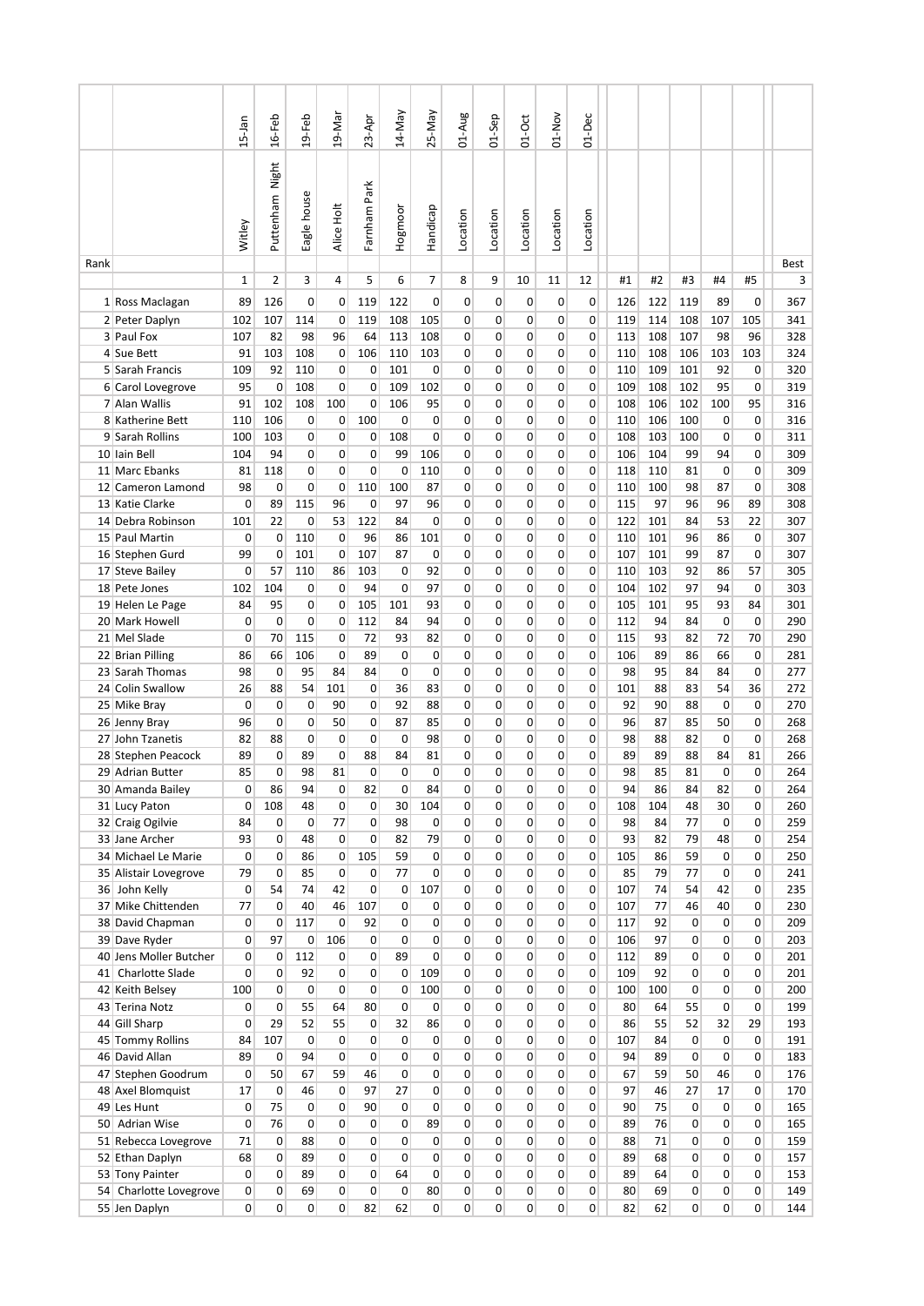|      |                                        | $15$ -Jan          | $16-Feb$          | $19 - Feb$        | 19-Mar             | $23-Apr$          | 14-May                       | 25-May                     | 01-Aug                     | 01-Sep   | $01-Oct$                     | $01-Nov$                       | $01 - Dec$          |            |            |                             |                   |                                  |            |
|------|----------------------------------------|--------------------|-------------------|-------------------|--------------------|-------------------|------------------------------|----------------------------|----------------------------|----------|------------------------------|--------------------------------|---------------------|------------|------------|-----------------------------|-------------------|----------------------------------|------------|
|      |                                        | Witley             | Puttenham Night   | Eagle house       | Alice Holt         | Farnham Park      | Hogmoor                      | Handicap                   | Location                   | Location | Location                     | Location                       | Location            |            |            |                             |                   |                                  |            |
| Rank |                                        | $\mathbf{1}$       | $\overline{2}$    |                   | 4                  | 5                 | 6                            | 7                          |                            | 9        |                              |                                | 12                  |            |            | #3                          | #4                | #5                               | Best<br>3  |
|      | 1 Ross Maclagan                        | 89                 | 126               | 3<br>0            | 0                  | 119               | 122                          | 0                          | 8<br>0                     | 0        | 10<br>0                      | 11<br>0                        | 0                   | #1<br>126  | #2<br>122  | 119                         | 89                | 0                                | 367        |
|      | 2 Peter Daplyn                         | 102                | 107               | 114               | 0                  | 119               | 108                          | 105                        | 0                          | 0        | 0                            | 0                              | 0                   | 119        | 114        | 108                         | 107               | 105                              | 341        |
|      | 3 Paul Fox                             | 107                | 82                | 98                | 96                 | 64                | 113                          | 108                        | 0                          | 0        | 0                            | 0                              | 0                   | 113        | 108        | 107                         | 98                | 96                               | 328        |
|      | 4 Sue Bett                             | 91                 | 103               | 108               | 0                  | 106               | 110                          | 103                        | 0                          | 0        | 0                            | 0                              | 0                   | 110        | 108        | 106                         | 103               | 103                              | 324        |
|      | 5 Sarah Francis                        | 109                | 92                | 110               | 0                  | 0                 | 101                          | 0                          | 0                          | 0        | 0                            | 0                              | 0                   | 110        | 109        | 101                         | 92                | 0                                | 320        |
|      | 6 Carol Lovegrove                      | 95                 | $\mathbf 0$       | 108               | $\mathbf 0$        | 0                 | 109                          | 102                        | 0                          | 0        | 0                            | 0                              | 0                   | 109        | 108        | 102                         | 95                | 0                                | 319        |
|      | 7 Alan Wallis                          | 91                 | 102               | 108               | 100                | 0                 | 106                          | 95                         | 0                          | 0        | 0                            | 0                              | 0                   | 108        | 106        | 102                         | 100               | 95                               | 316        |
|      | 8 Katherine Bett<br>9 Sarah Rollins    | 110<br>100         | 106<br>103        | 0<br>0            | 0<br>0             | 100<br>0          | 0<br>108                     | 0<br>0                     | 0<br>0                     | 0<br>0   | 0<br>0                       | 0<br>0                         | 0<br>0              | 110<br>108 | 106<br>103 | 100<br>100                  | 0<br>0            | 0<br>0                           | 316<br>311 |
|      | 10 Iain Bell                           | 104                | 94                | 0                 | 0                  | 0                 | 99                           | 106                        | 0                          | 0        | 0                            | 0                              | 0                   | 106        | 104        | 99                          | 94                | 0                                | 309        |
|      | 11 Marc Ebanks                         | 81                 | 118               | 0                 | $\mathbf 0$        | 0                 | 0                            | 110                        | 0                          | 0        | 0                            | 0                              | 0                   | 118        | 110        | 81                          | 0                 | 0                                | 309        |
|      | 12 Cameron Lamond                      | 98                 | 0                 | 0                 | 0                  | 110               | 100                          | 87                         | $\mathbf 0$                | 0        | 0                            | 0                              | 0                   | 110        | 100        | 98                          | 87                | 0                                | 308        |
|      | 13 Katie Clarke                        | 0                  | 89                | 115               | 96                 | 0                 | 97                           | 96                         | 0                          | 0        | 0                            | 0                              | 0                   | 115        | 97         | 96                          | 96                | 89                               | 308        |
|      | 14 Debra Robinson                      | 101                | 22                | 0                 | 53                 | 122               | 84                           | 0                          | $\mathbf 0$                | 0        | 0                            | 0                              | 0                   | 122        | 101        | 84                          | 53                | 22                               | 307        |
|      | 15 Paul Martin                         | 0                  | 0                 | 110               | 0                  | 96                | 86                           | 101                        | 0                          | 0        | 0                            | 0                              | 0                   | 110        | 101        | 96                          | 86                | 0                                | 307        |
|      | 16 Stephen Gurd                        | 99                 | 0                 | 101               | $\mathbf 0$        | 107               | 87                           | 0                          | $\mathbf 0$                | 0        | 0                            | 0                              | 0                   | 107        | 101        | 99                          | 87                | 0                                | 307        |
|      | 17 Steve Bailey                        | 0                  | 57                | 110               | 86                 | 103               | 0                            | 92                         | $\mathbf 0$                | 0        | 0                            | 0                              | 0                   | 110        | 103        | 92                          | 86                | 57                               | 305        |
|      | 18 Pete Jones                          | 102                | 104               | 0                 | 0                  | 94                | 0                            | 97                         | 0                          | 0        | 0                            | 0                              | 0                   | 104        | 102        | 97                          | 94                | 0                                | 303        |
|      | 19 Helen Le Page                       | 84                 | 95                | 0                 | $\mathbf 0$        | 105               | 101                          | 93                         | $\mathbf 0$                | 0        | 0                            | 0                              | 0                   | 105        | 101        | 95                          | 93                | 84                               | 301        |
|      | 20 Mark Howell                         | 0                  | 0                 | 0                 | 0                  | 112               | 84                           | 94                         | $\mathbf 0$                | 0        | 0                            | 0                              | 0                   | 112        | 94         | 84                          | $\mathbf 0$       | 0                                | 290        |
|      | 21 Mel Slade                           | $\mathbf 0$        | 70                | 115               | $\mathbf 0$        | 72                | 93                           | 82                         | $\mathbf 0$                | 0        | 0                            | 0                              | 0                   | 115        | 93         | 82                          | 72                | 70                               | 290        |
|      | 22 Brian Pilling                       | 86                 | 66                | 106               | $\mathbf{0}$<br>84 | 89<br>84          | 0<br>0                       | $\mathbf 0$<br>$\mathbf 0$ | $\mathbf 0$                | 0        | 0                            | 0                              | 0                   | 106        | 89<br>95   | 86                          | 66                | 0                                | 281        |
|      | 23 Sarah Thomas<br>24 Colin Swallow    | 98<br>26           | $\mathbf 0$<br>88 | 95<br>54          | 101                | 0                 | 36                           | 83                         | 0<br>$\mathbf 0$           | 0<br>0   | 0<br>0                       | 0<br>0                         | 0<br>0              | 98<br>101  | 88         | 84<br>83                    | 84<br>54          | 0<br>36                          | 277<br>272 |
|      | 25 Mike Bray                           | 0                  | 0                 | $\mathbf 0$       | 90                 | 0                 | 92                           | 88                         | $\mathbf 0$                | 0        | 0                            | 0                              | 0                   | 92         | 90         | 88                          | 0                 | 0                                | 270        |
|      | 26 Jenny Bray                          | 96                 | $\mathbf 0$       | 0                 | 50                 | 0                 | 87                           | 85                         | $\mathbf 0$                | 0        | 0                            | 0                              | 0                   | 96         | 87         | 85                          | 50                | 0                                | 268        |
|      | 27 John Tzanetis                       | 82                 | 88                | 0                 | 0                  | $\mathbf 0$       | 0                            | 98                         | $\mathbf 0$                | 0        | 0                            | 0                              | 0                   | 98         | 88         | 82                          | 0                 | 0                                | 268        |
|      | 28 Stephen Peacock                     | 89                 | 0                 | 89                | 0                  | 88                | 84                           | 81                         | 0                          | 0        | 0                            | 0                              | 0                   | 89         | 89         | 88                          | 84                | 81                               | 266        |
|      | 29 Adrian Butter                       | 85                 | 0                 | 98                | 81                 | 0                 | 0                            | 0                          | 0                          | 0        | 0                            | 0                              | 0                   | 98         | 85         | 81                          | $\Omega$          | 0                                | 264        |
|      | 30 Amanda Bailey                       | 0                  | 86                | 94                | 0                  | 82                | 0                            | 84                         | 0                          | 0        | 0                            | 0                              | 0                   | 94         | 86         | 84                          | 82                | 0                                | 264        |
|      | 31 Lucy Paton                          | 0                  | 108               | 48                | $\mathbf 0$        | 0                 | 30                           | 104                        | $\mathbf 0$                | 0        | $\mathbf{0}$                 | 0                              | 0                   | 108        | 104        | 48                          | 30                | $\overline{0}$                   | 260        |
|      | 32 Craig Ogilvie                       | 84                 | $\mathbf 0$       | $\mathbf 0$       | 77                 | 0                 | 98                           | 0                          | $\mathbf 0$                | 0        | $\mathbf{0}$                 | $\overline{0}$                 | $\overline{0}$      | 98         | 84         | 77                          | $\mathbf{0}$      | $\overline{0}$                   | 259        |
|      | 33 Jane Archer                         | 93                 | $\mathbf 0$       | 48                | $\mathbf{0}$       | $\mathbf 0$       | 82                           | 79                         | $\mathbf 0$                | 0        | $\overline{0}$               | $\overline{0}$                 | 0                   | 93         | 82         | 79                          | 48                | $\overline{0}$                   | 254        |
|      | 34 Michael Le Marie                    | $\mathbf 0$        | 0                 | 86                | 0                  | 105               | 59                           | 0                          | $\mathbf 0$                | 0        | 0                            | $\overline{0}$                 | 0                   | 105        | 86         | 59                          | 0                 | $\overline{0}$                   | 250        |
|      | 35 Alistair Lovegrove                  | 79                 | 0                 | 85                | $\mathbf 0$        | $\mathbf 0$       | 77                           | 0                          | $\mathbf 0$                | 0        | $\mathbf{0}$                 | $\mathbf{0}$                   | 0                   | 85         | 79         | 77                          | $\mathbf 0$       | $\overline{0}$                   | 241        |
|      | 36 John Kelly<br>37 Mike Chittenden    | $\mathbf{0}$<br>77 | 54<br>$\mathbf 0$ | 74<br>40          | 42<br>46           | 0<br>107          | $\mathbf{0}$<br>$\mathbf{0}$ | 107<br>$\mathbf{0}$        | $\mathbf 0$<br>$\mathbf 0$ | 0<br>0   | $\mathbf{0}$<br>$\mathbf{0}$ | $\mathbf{0}$<br>$\mathbf{0}$   | 0<br>0              | 107<br>107 | 74<br>77   | 54<br>46                    | 42<br>40          | $\overline{0}$<br>$\overline{0}$ | 235<br>230 |
|      | 38 David Chapman                       | $\mathbf{0}$       | 0                 | 117               | 0                  | 92                | $\mathbf{0}$                 | 0                          | $\mathbf 0$                | 0        | $\mathbf{0}$                 | $\overline{0}$                 | 0                   | 117        | 92         | $\mathbf 0$                 | $\mathbf{0}$      | 0                                | 209        |
|      | 39 Dave Ryder                          | $\mathbf 0$        | 97                | 0                 | 106                | 0                 | $\overline{0}$               | 0                          | $\mathbf 0$                | 0        | 0                            | $\overline{0}$                 | 0                   | 106        | 97         | $\mathbf{0}$                | 0                 | $\overline{0}$                   | 203        |
|      | 40 Jens Moller Butcher                 | $\mathbf{0}$       | $\mathbf 0$       | 112               | $\Omega$           | 0                 | 89                           | 0                          | $\mathbf 0$                | 0        | $\mathbf{0}$                 | $\mathbf{0}$                   | 0                   | 112        | 89         | $\mathbf{0}$                | $\mathbf{0}$      | $\overline{0}$                   | 201        |
|      | 41 Charlotte Slade                     | $\mathbf{0}$       | $\mathbf 0$       | 92                | $\mathbf{0}$       | 0                 | $\mathbf{0}$                 | 109                        | $\mathbf 0$                | 0        | $\mathbf{0}$                 | $\overline{0}$                 | 0                   | 109        | 92         | $\mathbf{0}$                | $\mathbf{0}$      | $\overline{0}$                   | 201        |
|      | 42 Keith Belsey                        | 100                | 0                 | $\mathbf 0$       | $\mathbf{0}$       | $\mathbf 0$       | 0                            | 100                        | $\mathbf 0$                | 0        | $\mathbf{0}$                 | $\overline{0}$                 | 0                   | 100        | 100        | $\mathbf{0}$                | $\mathbf{0}$      | $\overline{0}$                   | 200        |
|      | 43 Terina Notz                         | $\mathbf{0}$       | 0                 | 55                | 64                 | 80                | 0                            | 0                          | $\mathbf 0$                | 0        | $\overline{0}$               | $\overline{0}$                 | 0                   | 80         | 64         | 55                          | $\overline{0}$    | 0                                | 199        |
|      | 44 Gill Sharp                          | $\mathbf 0$        | 29                | 52                | 55                 | 0                 | 32                           | 86                         | $\mathbf 0$                | 0        | 0                            | $\overline{0}$                 | 0                   | 86         | 55         | 52                          | 32                | 29                               | 193        |
|      | 45 Tommy Rollins                       | 84                 | 107               | $\mathbf 0$       | $\mathbf{0}$       | $\mathbf 0$       | $\mathbf{0}$                 | 0                          | $\mathbf 0$                | 0        | $\mathbf{0}$                 | $\mathbf{0}$                   | 0                   | 107        | 84         | $\mathbf{0}$                | $\mathbf{0}$      | $\overline{0}$                   | 191        |
|      | 46 David Allan                         | 89                 | $\mathbf 0$       | 94                | $\mathbf{0}$       | $\mathbf 0$       | 0                            | 0                          | $\mathbf 0$                | 0        | $\mathbf{0}$                 | $\mathbf{0}$                   | 0                   | 94         | 89         | $\mathbf{0}$                | $\mathbf{0}$      | $\overline{0}$                   | 183        |
|      | 47 Stephen Goodrum                     | $\mathbf{0}$       | 50                | 67                | 59                 | 46                | $\mathbf{0}$                 | 0                          | $\mathbf 0$                | 0        | $\mathbf{0}$                 | $\mathbf{0}$                   | $\overline{0}$      | 67         | 59         | 50                          | 46                | $\overline{0}$                   | 176        |
|      | 48 Axel Blomquist                      | 17                 | 0                 | 46                | $\mathbf{0}$       | 97                | 27                           | 0                          | 0                          | 0        | $\overline{0}$               | $\overline{0}$                 | 0                   | 97         | 46         | 27                          | 17                | $\overline{0}$                   | 170        |
|      | 49 Les Hunt                            | 0                  | 75                | $\mathbf 0$       | 0<br>$\mathbf 0$   | 90<br>$\mathbf 0$ | 0<br>0                       | 0                          | $\mathbf 0$<br>$\mathbf 0$ | 0<br>0   | 0<br>$\mathbf{0}$            | $\overline{0}$<br>$\mathbf{0}$ | 0<br>$\overline{0}$ | 90         | 75<br>76   | $\mathbf 0$<br>$\mathbf{0}$ | 0<br>$\mathbf{0}$ | $\overline{0}$<br>$\overline{0}$ | 165        |
|      | 50 Adrian Wise<br>51 Rebecca Lovegrove | 0<br>71            | 76<br>$\mathbf 0$ | $\mathbf 0$<br>88 | $\mathbf{0}$       | 0                 | 0                            | 89<br>0                    | $\mathbf 0$                | 0        | $\mathbf{0}$                 | $\overline{0}$                 | 0                   | 89<br>88   | 71         | $\mathbf{0}$                | $\mathbf{0}$      | $\overline{0}$                   | 165<br>159 |
|      | 52 Ethan Daplyn                        | 68                 | $\mathbf 0$       | 89                | $\mathbf{0}$       | $\mathbf{0}$      | $\mathbf{0}$                 | 0                          | $\mathbf 0$                | 0        | $\mathbf{0}$                 | $\mathbf{0}$                   | $\overline{0}$      | 89         | 68         | $\mathbf{0}$                | $\mathbf{0}$      | $\overline{0}$                   | 157        |
|      | 53 Tony Painter                        | $\overline{0}$     | 0                 | 89                | $\mathbf{0}$       | 0                 | 64                           | 0                          | 0                          | 0        | $\overline{0}$               | $\overline{0}$                 | 0                   | 89         | 64         | $\overline{0}$              | $\overline{0}$    | $\overline{0}$                   | 153        |
|      | 54 Charlotte Lovegrove                 | $\mathbf{0}$       | 0                 | 69                | $\mathbf{0}$       | $\mathsf 0$       | 0                            | 80                         | 0                          | 0        | 0                            | $\overline{0}$                 | 0                   | 80         | 69         | 0                           | 0                 | $\overline{0}$                   | 149        |
|      | 55 Jen Daplyn                          | $\overline{0}$     | 0                 | $\overline{0}$    | 0                  | 82                | 62                           | $\overline{0}$             | 0                          | 0        | 0                            | $\overline{0}$                 | $\overline{0}$      | 82         | 62         | 0                           | $\overline{0}$    | $\overline{0}$                   | 144        |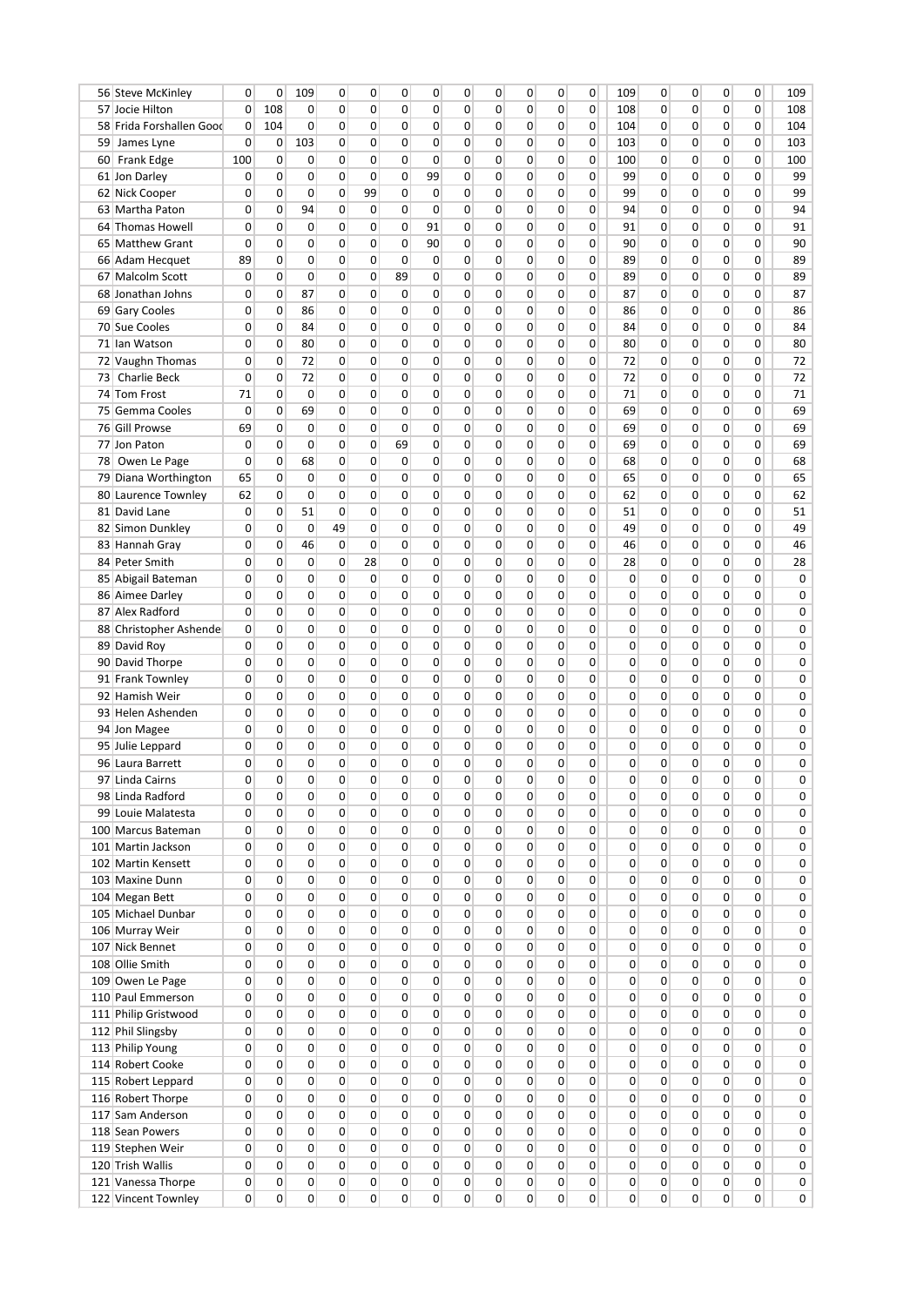| 56 Steve McKinley        | 0              | 0           | 109         | 0  | 0            | 0              | 0              | 0           | 0            | 0              | 0            | 0              | 109          | 0            | 0            | 0            | 0              | 109    |
|--------------------------|----------------|-------------|-------------|----|--------------|----------------|----------------|-------------|--------------|----------------|--------------|----------------|--------------|--------------|--------------|--------------|----------------|--------|
| 57 Jocie Hilton          | 0              | 108         | 0           | 0  | 0            | 0              | 0              | $\mathbf 0$ | 0            | 0              | 0            | 0              | 108          | 0            | 0            | 0            | 0              | 108    |
| 58 Frida Forshallen Good | 0              | 104         | $\mathbf 0$ | 0  | 0            | 0              | 0              | $\mathbf 0$ | 0            | 0              | 0            | 0              | 104          | 0            | 0            | 0            | 0              | 104    |
| 59 James Lyne            | $\Omega$       | 0           | 103         | 0  | 0            | 0              | 0              | 0           | 0            | 0              | 0            | 0              | 103          | 0            | 0            | 0            | 0              | 103    |
| 60 Frank Edge            | 100            | $\mathbf 0$ | $\mathbf 0$ | 0  | 0            | 0              | 0              | 0           | 0            | 0              | 0            | 0              | 100          | 0            | 0            | 0            | 0              | 100    |
| 61 Jon Darley            | 0              | $\Omega$    | $\mathbf 0$ | 0  | $\mathbf{0}$ | 0              | 99             | 0           | $\mathbf{0}$ | $\mathbf{0}$   | 0            | $\overline{0}$ | 99           | 0            | 0            | $\Omega$     | 0              | 99     |
| 62 Nick Cooper           | 0              | $\mathbf 0$ | $\mathbf 0$ | 0  | 99           | 0              | 0              | $\mathbf 0$ | 0            | 0              | 0            | $\overline{0}$ | 99           | 0            | 0            | 0            | 0              | 99     |
| 63 Martha Paton          | 0              | $\mathbf 0$ | 94          | 0  | 0            | 0              | 0              | $\mathbf 0$ | 0            | 0              | 0            | $\mathbf{0}$   | 94           | 0            | 0            | 0            | 0              | 94     |
| 64 Thomas Howell         | 0              | $\mathbf 0$ | $\Omega$    | 0  | 0            | 0              | 91             | 0           | 0            | 0              | 0            | 0              | 91           | $\Omega$     | 0            | 0            | 0              | 91     |
| 65 Matthew Grant         | 0              | $\mathbf 0$ | $\mathbf 0$ | 0  | 0            | 0              | 90             | $\mathbf 0$ | 0            | 0              | 0            | $\overline{0}$ | 90           | 0            | 0            | 0            | 0              | 90     |
| 66 Adam Hecquet          | 89             | 0           | $\mathbf 0$ | 0  | $\mathbf{0}$ | 0              | 0              | $\mathbf 0$ | $\mathbf{0}$ | $\mathbf{0}$   | 0            | $\overline{0}$ | 89           | 0            | 0            | 0            | 0              | 89     |
| 67 Malcolm Scott         | 0              | $\mathbf 0$ | $\mathbf 0$ | 0  | 0            | 89             | 0              | $\mathbf 0$ | 0            | 0              | 0            | $\overline{0}$ | 89           | 0            | 0            | 0            | 0              | 89     |
| 68 Jonathan Johns        | 0              | $\mathbf 0$ | 87          | 0  | $\mathbf{0}$ | 0              | 0              | $\mathbf 0$ | 0            | 0              | 0            | $\overline{0}$ | 87           | 0            | 0            | 0            | 0              | 87     |
| 69 Gary Cooles           | 0              | $\Omega$    | 86          | 0  | 0            | 0              | 0              | 0           | 0            | 0              | 0            | 0              | 86           | $\Omega$     | 0            | 0            | 0              | 86     |
| 70 Sue Cooles            | 0              | $\mathbf 0$ | 84          | 0  | $\Omega$     | 0              | 0              | $\mathbf 0$ | 0            | 0              | 0            | $\overline{0}$ | 84           | 0            | 0            | 0            | 0              | 84     |
| 71 Ian Watson            | 0              | $\mathbf 0$ | 80          | 0  | $\mathbf{0}$ | 0              | 0              | $\mathbf 0$ | $\mathbf{0}$ | $\mathbf{0}$   | 0            | $\overline{0}$ | 80           | 0            | 0            | $\mathbf{0}$ | 0              | 80     |
| 72 Vaughn Thomas         | 0              | $\mathbf 0$ | 72          | 0  | 0            | 0              | 0              | $\mathbf 0$ | 0            | 0              | 0            | $\overline{0}$ | 72           | 0            | 0            | 0            | 0              | 72     |
| 73 Charlie Beck          | 0              | $\mathbf 0$ | 72          | 0  | 0            | 0              | 0              | $\mathbf 0$ | 0            | 0              | 0            | $\overline{0}$ | 72           | 0            | 0            | 0            | 0              | 72     |
| 74 Tom Frost             | 71             | $\Omega$    | $\Omega$    | 0  | 0            | 0              | 0              | 0           | 0            | 0              | 0            | 0              | 71           | 0            | 0            | 0            | 0              | 71     |
| 75 Gemma Cooles          | 0              | 0           | 69          | 0  | 0            | 0              | 0              | 0           | 0            | 0              | 0            | $\overline{0}$ | 69           | 0            | 0            | 0            | 0              | 69     |
| 76 Gill Prowse           | 69             | 0           | $\mathbf 0$ | 0  | $\mathbf{0}$ | 0              | 0              | $\mathbf 0$ | $\mathbf{0}$ | $\mathbf{0}$   | 0            | $\overline{0}$ | 69           | 0            | $\mathbf{0}$ | $\mathbf{0}$ | 0              | 69     |
| 77 Jon Paton             | 0              | 0           | $\mathbf 0$ | 0  | 0            | 69             | 0              | $\mathbf 0$ | 0            | 0              | 0            | $\overline{0}$ | 69           | 0            | 0            | 0            | 0              | 69     |
| 78 Owen Le Page          | 0              | 0           | 68          | 0  | $\mathbf{0}$ | 0              | 0              | $\mathbf 0$ | 0            | 0              | 0            | $\overline{0}$ | 68           | 0            | 0            | 0            | 0              | 68     |
| 79 Diana Worthington     | 65             | $\mathbf 0$ | $\Omega$    | 0  | 0            | 0              | 0              | 0           | 0            | 0              | 0            | 0              | 65           | 0            | 0            | 0            | 0              | 65     |
|                          |                | 0           | $\mathbf 0$ | 0  | 0            | 0              | 0              | $\mathbf 0$ | 0            | 0              | 0            | $\overline{0}$ |              | 0            | 0            | 0            | 0              |        |
| 80 Laurence Townley      | 62             | 0           |             | 0  | $\mathbf{0}$ | 0              |                | $\mathbf 0$ | $\mathbf{0}$ | $\mathbf{0}$   | 0            | $\overline{0}$ | 62           |              | 0            | $\mathbf{0}$ | 0              | 62     |
| 81 David Lane            | 0              |             | 51          |    |              | 0              | 0              |             |              |                |              |                | 51           | 0            |              |              |                | 51     |
| 82 Simon Dunkley         | 0              | $\mathbf 0$ | $\mathbf 0$ | 49 | 0            |                | 0              | $\mathbf 0$ | 0            | 0              | 0            | $\overline{0}$ | 49           | 0            | 0            | 0            | 0              | 49     |
| 83 Hannah Gray           | 0              | $\mathbf 0$ | 46          | 0  | 0            | 0              | 0              | 0           | 0            | 0              | 0            | $\mathbf{0}$   | 46           | 0            | 0            | 0            | 0              | 46     |
| 84 Peter Smith           | 0              | $\Omega$    | $\Omega$    | 0  | 28           | 0              | 0              | 0           | 0            | 0              | 0            | 0              | 28           | 0            | 0            | $\Omega$     | 0              | 28     |
| 85 Abigail Bateman       | 0              | $\mathbf 0$ | $\mathbf 0$ | 0  | 0            | 0              | 0              | $\mathbf 0$ | 0            | 0              | 0            | 0              | 0            | 0            | 0            | 0            | 0              | 0      |
| 86 Aimee Darley          | 0              | 0           | 0           | 0  | 0            | 0              | 0              | $\mathbf 0$ | $\mathbf{0}$ | $\mathbf{0}$   | 0            | $\overline{0}$ | 0            | $\mathbf{0}$ | $\mathbf{0}$ | $\mathbf{0}$ | 0              | 0      |
| 87 Alex Radford          | 0              | 0           | $\mathbf 0$ | 0  | 0            | 0              | 0              | $\mathbf 0$ | 0            | 0              | 0            | 0              | 0            | 0            | 0            | 0            | 0              | 0      |
| 88 Christopher Ashende   | 0              | 0           | 0           | 0  | 0            | 0              | 0              | $\mathbf 0$ | 0            | 0              | 0            | 0              | $\mathbf 0$  | 0            | 0            | 0            | 0              | 0      |
| 89 David Roy             | 0              | $\Omega$    | $\Omega$    | 0  | 0            | 0              | 0              | 0           | 0            | 0              | 0            | 0              | $\mathbf 0$  | 0            | 0            | 0            | $\Omega$       | 0      |
| 90 David Thorpe          | 0              | 0           | $\mathbf 0$ | 0  | 0            | 0              | 0              | $\mathbf 0$ | 0            | 0              | 0            | 0              | 0            | 0            | 0            | 0            | 0              | 0      |
| 91 Frank Townley         | 0              | 0           | $\mathbf 0$ | 0  | $\mathbf{0}$ | 0              | 0              | $\mathbf 0$ | $\mathbf{0}$ | $\mathbf{0}$   | 0            | $\overline{0}$ | 0            | $\mathbf{0}$ | 0            | $\mathbf{0}$ | 0              | 0      |
| 92 Hamish Weir           | 0              | $\mathbf 0$ | $\mathbf 0$ | 0  | 0            | 0              | 0              | $\mathbf 0$ | 0            | 0              | 0            | 0              | $\mathbf 0$  | 0            | 0            | 0            | 0              | 0      |
| 93 Helen Ashenden        | 0              | 0           | $\mathbf 0$ | 0  | 0            | 0              | 0              | $\mathbf 0$ | 0            | 0              | 0            | 0              | $\mathbf 0$  | 0            | 0            | 0            | 0              | 0      |
| 94 Jon Magee             | 0              | 0           | 0           | 0  | 0            | 0              | 0              | 0           | 0            | 0              | 0            | 0              | $\mathbf 0$  | 0            | 0            | 0            | 0              | 0      |
| 95 Julie Leppard         | 0              | $\mathbf 0$ | $\mathbf 0$ | 0  | 0            | 0              | 0              | 0           | 0            | 0              | 0            | 0              | 0            | 0            | 0            | 0            | 0              | 0      |
| 96 Laura Barrett         | 0              | 0           | $\mathbf 0$ | 0  | 0            | 0              | 0              | 0           | 0            | $\mathbf{0}$   | 0            | 0              | $\mathbf 0$  | 0            | 0            | $\mathbf{0}$ | 0              | 0      |
| 97 Linda Cairns          | $\overline{0}$ | 0           | 0           | 0  | 0            | 0              | 0              | 0           | 0            | 0              | 0            | 0              | 0            | 0            | 0            | 0            | $\overline{0}$ | 0      |
| 98 Linda Radford         | 0              | $\mathbf 0$ | 0           | 0  | 0            | 0              | 0              | 0           | 0            | $\mathbf{0}$   | 0            | 0              | 0            | 0            | 0            | 0            | 0              | 0      |
| 99 Louie Malatesta       | 0              | 0           | 0           | 0  | $\mathbf{0}$ | 0              | 0              | 0           | $\mathbf{0}$ | $\mathbf{0}$   | 0            | 0              | 0            | 0            | $\mathbf{0}$ | 0            | $\overline{0}$ | 0      |
| 100 Marcus Bateman       | 0              | $\mathbf 0$ | $\mathbf 0$ | 0  | $\mathbf{0}$ | 0              | 0              | $\mathbf 0$ | $\mathbf{0}$ | 0              | 0            | $\overline{0}$ | 0            | 0            | 0            | 0            | 0              | 0      |
| 101 Martin Jackson       | 0              | 0           | $\mathbf 0$ | 0  | $\mathbf{0}$ | $\overline{0}$ | 0              | $\mathbf 0$ | $\mathbf{0}$ | $\mathbf{0}$   | 0            | $\overline{0}$ | 0            | $\mathbf{0}$ | $\mathbf{0}$ | $\mathbf{0}$ | 0              | 0      |
| 102 Martin Kensett       | 0              | 0           | $\mathbf 0$ | 0  | $\mathbf{0}$ | 0              | 0              | $\mathbf 0$ | $\mathbf{0}$ | $\mathbf{0}$   | 0            | $\overline{0}$ | 0            | 0            | $\mathbf{0}$ | $\mathbf{0}$ | 0              | 0      |
| 103 Maxine Dunn          | 0              | 0           | 0           | 0  | $\mathbf{0}$ | 0              | 0              | $\mathbf 0$ | $\mathbf{0}$ | $\mathbf{0}$   | 0            | 0              | 0            | 0            | $\mathbf{0}$ | $\mathbf{0}$ | 0              | 0      |
| 104 Megan Bett           | 0              | 0           | 0           | 0  | 0            | 0              | 0              | 0           | $\mathbf{0}$ | $\mathbf{0}$   | 0            | 0              | 0            | 0            | $\mathbf{0}$ | 0            | 0              | 0      |
| 105 Michael Dunbar       | 0              | 0           | $\mathbf 0$ | 0  | $\mathbf{0}$ | 0              | 0              | 0           | $\mathbf{0}$ | 0              | 0            | 0              | 0            | 0            | 0            | 0            | $\overline{0}$ | 0      |
| 106 Murray Weir          | 0              | 0           | $\mathbf 0$ | 0  | $\mathbf{0}$ | $\overline{0}$ | 0              | 0           | $\mathbf{0}$ | $\mathbf{0}$   | 0            | $\overline{0}$ | $\mathbf 0$  | $\mathbf{0}$ | $\mathbf{0}$ | $\mathbf{0}$ | $\overline{0}$ | 0      |
| 107 Nick Bennet          | 0              | 0           | $\mathbf 0$ | 0  | $\mathbf{0}$ | $\mathbf{0}$   | 0              | $\mathbf 0$ | $\mathbf{0}$ | $\mathbf{0}$   | 0            | $\overline{0}$ | 0            | 0            | $\mathbf{0}$ | $\mathbf{0}$ | 0              | 0      |
| 108 Ollie Smith          | 0              | $\mathbf 0$ | 0           | 0  | $\mathbf{0}$ | 0              | 0              | $\mathbf 0$ | $\mathbf{0}$ | $\mathbf{0}$   | 0            | $\overline{0}$ | 0            | 0            | $\mathbf{0}$ | $\mathbf{0}$ | 0              | 0      |
| 109 Owen Le Page         | 0              | 0           | $\mathbf 0$ | 0  | 0            | 0              | 0              | 0           | 0            | $\mathbf{0}$   | 0            | 0              | 0            | 0            | $\mathbf{0}$ | 0            | 0              | 0      |
| 110 Paul Emmerson        | 0              | $\mathbf 0$ | $\mathbf 0$ | 0  | 0            | 0              | 0              | 0           | $\mathbf{0}$ | 0              | 0            | $\overline{0}$ | 0            | 0            | 0            | 0            | 0              | 0      |
| 111 Philip Gristwood     | 0              | 0           | $\mathbf 0$ | 0  | $\mathbf{0}$ | $\overline{0}$ | 0              | 0           | $\mathbf{0}$ | $\mathbf{0}$   | 0            | $\overline{0}$ | 0            | $\mathbf{0}$ | $\mathbf{0}$ | $\mathbf{0}$ | 0              | 0      |
| 112 Phil Slingsby        | 0              | 0           | $\mathbf 0$ | 0  | $\mathbf{0}$ | $\mathbf{0}$   | 0              | $\mathbf 0$ | $\mathbf{0}$ | $\mathbf{0}$   | 0            | $\overline{0}$ | $\mathbf 0$  | 0            | $\mathbf{0}$ | $\mathbf{0}$ | 0              | 0      |
| 113 Philip Young         | 0              | 0           | 0           | 0  | $\mathbf{0}$ | 0              | 0              | $\mathbf 0$ | $\mathbf{0}$ | $\mathbf{0}$   | 0            | 0              | 0            | 0            | $\mathbf{0}$ | $\mathbf{0}$ | 0              | 0      |
| 114 Robert Cooke         | 0              | 0           | 0           | 0  | 0            | 0              | 0              | 0           | $\mathbf{0}$ | $\mathbf{0}$   | 0            | 0              | 0            | 0            | $\mathbf{0}$ | 0            | 0              | 0      |
| 115 Robert Leppard       | 0              | 0           | $\mathbf 0$ | 0  | $\mathbf{0}$ | 0              | 0              | 0           | $\mathbf{0}$ | 0              | 0            | 0              | $\mathbf 0$  | 0            | 0            | 0            | $\overline{0}$ | 0      |
| 116 Robert Thorpe        | 0              | 0           | $\mathbf 0$ | 0  | $\mathbf{0}$ | $\overline{0}$ | 0              | 0           | $\mathbf{0}$ | $\mathbf{0}$   | 0            | $\overline{0}$ | $\mathbf 0$  | $\mathbf{0}$ | $\mathbf{0}$ | $\mathbf{0}$ | $\overline{0}$ | 0      |
| 117 Sam Anderson         | 0              | 0           | $\mathbf 0$ | 0  | $\mathbf{0}$ | $\mathbf{0}$   | 0              | $\mathbf 0$ | $\mathbf{0}$ | $\mathbf{0}$   | 0            | $\overline{0}$ | 0            | 0            | $\mathbf{0}$ | $\mathbf{0}$ | 0              |        |
| 118 Sean Powers          | 0              | 0           | 0           | 0  | $\mathbf{0}$ | $\mathbf{0}$   | 0              | $\mathbf 0$ | $\mathbf{0}$ | $\mathbf{0}$   | 0            | $\overline{0}$ | 0            | 0            | $\mathbf{0}$ | $\mathbf{0}$ | 0              | 0<br>0 |
|                          | 0              | 0           | 0           | 0  | 0            | $\Omega$       | 0              | 0           | $\mathbf{0}$ | $\mathbf{0}$   | 0            | 0              | 0            | 0            | $\mathbf{0}$ | 0            | 0              | 0      |
| 119 Stephen Weir         |                |             |             |    | 0            | $\mathbf{0}$   |                |             |              |                | 0            |                |              |              |              |              | 0              |        |
| 120 Trish Wallis         | 0              | $\mathbf 0$ | $\mathbf 0$ | 0  |              |                | 0              | 0           | $\mathbf{0}$ | 0              |              | $\overline{0}$ | 0            | 0            | 0            | 0            |                | 0      |
| 121 Vanessa Thorpe       | 0              | 0           | 0           | 0  | 0            | 0              | 0              | 0           | 0            | $\mathbf{0}$   | 0            | $\overline{0}$ | $\mathbf{0}$ | 0            | $\mathbf{0}$ | $\mathbf{0}$ | $\overline{0}$ | 0      |
| 122 Vincent Townley      | $\overline{0}$ | 0           | 0           | 0  | 0            | 0              | $\overline{0}$ | $\mathbf 0$ | 0            | $\overline{0}$ | $\mathbf{0}$ | $\overline{0}$ | $\mathbf{0}$ | 0            | 0            | $\mathbf{0}$ | $\mathbf{0}$   | 0      |